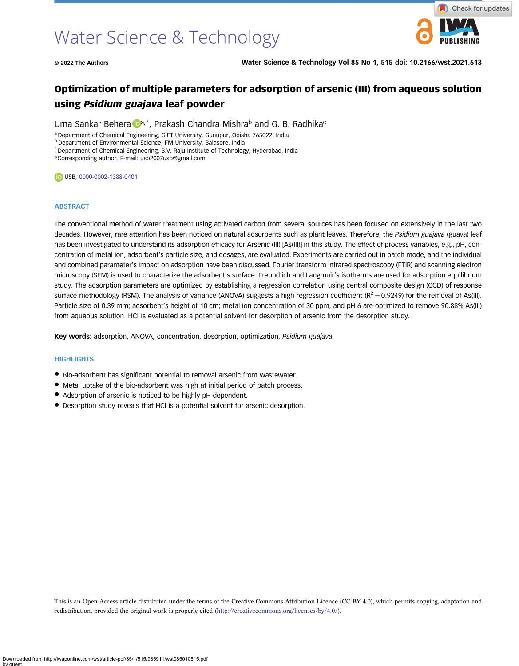# Water Science & Technology

© 2022 The Authors Water Science & Technology Vol 85 No 1, 515 doi: 10.2166/wst.2021.613

# Optimization of multiple parameters for adsorption of arsenic (III) from aqueous solution using Psidium guajava leaf powder

Uma Sankar Behera  $\mathbb{D}^{a,*}$ , Prakash Chandra Mishrab and G. B. Radhika<sup>c</sup>

<sup>a</sup> Department of Chemical Engineering, GIET University, Gunupur, Odisha 765022, India

**b Department of Environmental Science, FM University, Balasore, India** 

<sup>c</sup> Department of Chemical Engineering, B.V. Raju Institute of Technology, Hyderabad, India

\*Corresponding author. E-mail: [usb2007usb@gmail.com](mailto:usb2007usb@gmail.com)

**USB, [0000-0002-1388-0401](http://orcid.org/0000-0002-1388-0401)** 

#### **ABSTRACT**

The conventional method of water treatment using activated carbon from several sources has been focused on extensively in the last two decades. However, rare attention has been noticed on natural adsorbents such as plant leaves. Therefore, the Psidium guajava (guava) leaf has been investigated to understand its adsorption efficacy for Arsenic (III) [As(III)] in this study. The effect of process variables, e.g., pH, concentration of metal ion, adsorbent's particle size, and dosages, are evaluated. Experiments are carried out in batch mode, and the individual and combined parameter's impact on adsorption have been discussed. Fourier transform infrared spectroscopy (FTIR) and scanning electron microscopy (SEM) is used to characterize the adsorbent's surface. Freundlich and Langmuir's isotherms are used for adsorption equilibrium study. The adsorption parameters are optimized by establishing a regression correlation using central composite design (CCD) of response surface methodology (RSM). The analysis of variance (ANOVA) suggests a high regression coefficient ( $R^2 = 0.9249$ ) for the removal of As(III). Particle size of 0.39 mm; adsorbent's height of 10 cm; metal ion concentration of 30 ppm, and pH 6 are optimized to remove 90.88% As(III) from aqueous solution. HCl is evaluated as a potential solvent for desorption of arsenic from the desorption study.

Key words: adsorption, ANOVA, concentration, desorption, optimization, Psidium guajava

#### **HIGHLIGHTS**

- Bio-adsorbent has significant potential to removal arsenic from wastewater.
- Metal uptake of the bio-adsorbent was high at initial period of batch process.
- Adsorption of arsenic is noticed to be highly pH-dependent.
- Desorption study reveals that HCl is a potential solvent for arsenic desorption.

This is an Open Access article distributed under the terms of the Creative Commons Attribution Licence (CC BY 4.0), which permits copying, adaptation and redistribution, provided the original work is properly cited ([http://creativecommons.org/licenses/by/4.0/\)](http://creativecommons.org/licenses/by/4.0/).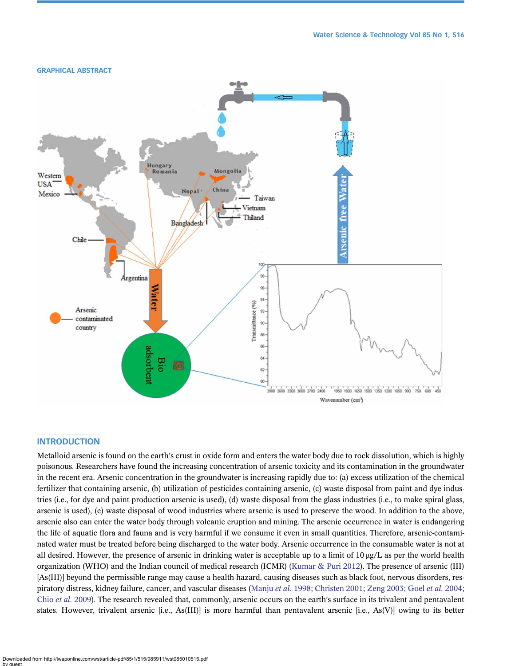

# **INTRODUCTION**

Metalloid arsenic is found on the earth's crust in oxide form and enters the water body due to rock dissolution, which is highly poisonous. Researchers have found the increasing concentration of arsenic toxicity and its contamination in the groundwater in the recent era. Arsenic concentration in the groundwater is increasing rapidly due to: (a) excess utilization of the chemical fertilizer that containing arsenic, (b) utilization of pesticides containing arsenic, (c) waste disposal from paint and dye industries (i.e., for dye and paint production arsenic is used), (d) waste disposal from the glass industries (i.e., to make spiral glass, arsenic is used), (e) waste disposal of wood industries where arsenic is used to preserve the wood. In addition to the above, arsenic also can enter the water body through volcanic eruption and mining. The arsenic occurrence in water is endangering the life of aquatic flora and fauna and is very harmful if we consume it even in small quantities. Therefore, arsenic-contaminated water must be treated before being discharged to the water body. Arsenic occurrence in the consumable water is not at all desired. However, the presence of arsenic in drinking water is acceptable up to a limit of  $10 \mu g/L$  as per the world health organization (WHO) and the Indian council of medical research (ICMR) ([Kumar & Puri 2012\)](#page-18-0). The presence of arsenic (III) [As(III)] beyond the permissible range may cause a health hazard, causing diseases such as black foot, nervous disorders, respiratory distress, kidney failure, cancer, and vascular diseases ([Manju](#page-18-0) et al. 1998; [Christen 2001](#page-18-0); [Zeng 2003](#page-19-0); Goel et al. [2004;](#page-18-0) Chio et al. [2009](#page-18-0)). The research revealed that, commonly, arsenic occurs on the earth's surface in its trivalent and pentavalent states. However, trivalent arsenic [i.e., As(III)] is more harmful than pentavalent arsenic [i.e., As(V)] owing to its better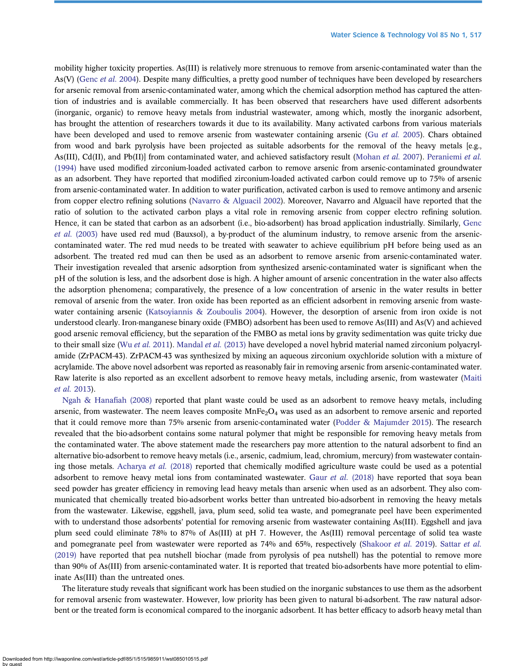mobility higher toxicity properties. As(III) is relatively more strenuous to remove from arsenic-contaminated water than the As(V) [\(Genc](#page-18-0) et al. 2004). Despite many difficulties, a pretty good number of techniques have been developed by researchers for arsenic removal from arsenic-contaminated water, among which the chemical adsorption method has captured the attention of industries and is available commercially. It has been observed that researchers have used different adsorbents (inorganic, organic) to remove heavy metals from industrial wastewater, among which, mostly the inorganic adsorbent, has brought the attention of researchers towards it due to its availability. Many activated carbons from various materials have been developed and used to remove arsenic from wastewater containing arsenic (Gu [et al.](#page-18-0) 2005). Chars obtained from wood and bark pyrolysis have been projected as suitable adsorbents for the removal of the heavy metals [e.g., As(III), Cd(II), and Pb(II)] from contaminated water, and achieved satisfactory result ([Mohan](#page-18-0) et al. 2007). [Peraniemi](#page-19-0) et al. [\(1994\)](#page-19-0) have used modified zirconium-loaded activated carbon to remove arsenic from arsenic-contaminated groundwater as an adsorbent. They have reported that modified zirconium-loaded activated carbon could remove up to 75% of arsenic from arsenic-contaminated water. In addition to water purification, activated carbon is used to remove antimony and arsenic from copper electro refining solutions [\(Navarro & Alguacil 2002\)](#page-19-0). Moreover, Navarro and Alguacil have reported that the ratio of solution to the activated carbon plays a vital role in removing arsenic from copper electro refining solution. Hence, it can be stated that carbon as an adsorbent (i.e., bio-adsorbent) has broad application industrially. Similarly, [Genc](#page-18-0) et al. [\(2003\)](#page-18-0) have used red mud (Bauxsol), a by-product of the aluminum industry, to remove arsenic from the arseniccontaminated water. The red mud needs to be treated with seawater to achieve equilibrium pH before being used as an adsorbent. The treated red mud can then be used as an adsorbent to remove arsenic from arsenic-contaminated water. Their investigation revealed that arsenic adsorption from synthesized arsenic-contaminated water is significant when the pH of the solution is less, and the adsorbent dose is high. A higher amount of arsenic concentration in the water also affects the adsorption phenomena; comparatively, the presence of a low concentration of arsenic in the water results in better removal of arsenic from the water. Iron oxide has been reported as an efficient adsorbent in removing arsenic from wastewater containing arsenic [\(Katsoyiannis & Zouboulis 2004](#page-18-0)). However, the desorption of arsenic from iron oxide is not understood clearly. Iron-manganese binary oxide (FMBO) adsorbent has been used to remove As(III) and As(V) and achieved good arsenic removal efficiency, but the separation of the FMBO as metal ions by gravity sedimentation was quite tricky due to their small size (Wu et al. [2011\)](#page-19-0). [Mandal](#page-18-0) et al. (2013) have developed a novel hybrid material named zirconium polyacrylamide (ZrPACM-43). ZrPACM-43 was synthesized by mixing an aqueous zirconium oxychloride solution with a mixture of acrylamide. The above novel adsorbent was reported as reasonably fair in removing arsenic from arsenic-contaminated water. Raw laterite is also reported as an excellent adsorbent to remove heavy metals, including arsenic, from wastewater [\(Maiti](#page-18-0) [et al.](#page-18-0) 2013).

[Ngah & Hana](#page-19-0)fiah (2008) reported that plant waste could be used as an adsorbent to remove heavy metals, including arsenic, from wastewater. The neem leaves composite  $MnFe<sub>2</sub>O<sub>4</sub>$  was used as an adsorbent to remove arsenic and reported that it could remove more than 75% arsenic from arsenic-contaminated water [\(Podder & Majumder 2015](#page-19-0)). The research revealed that the bio-adsorbent contains some natural polymer that might be responsible for removing heavy metals from the contaminated water. The above statement made the researchers pay more attention to the natural adsorbent to find an alternative bio-adsorbent to remove heavy metals (i.e., arsenic, cadmium, lead, chromium, mercury) from wastewater contain-ing those metals. [Acharya](#page-18-0) et al. (2018) reported that chemically modified agriculture waste could be used as a potential adsorbent to remove heavy metal ions from contaminated wastewater. Gaur et al. [\(2018\)](#page-18-0) have reported that soya bean seed powder has greater efficiency in removing lead heavy metals than arsenic when used as an adsorbent. They also communicated that chemically treated bio-adsorbent works better than untreated bio-adsorbent in removing the heavy metals from the wastewater. Likewise, eggshell, java, plum seed, solid tea waste, and pomegranate peel have been experimented with to understand those adsorbents' potential for removing arsenic from wastewater containing As(III). Eggshell and java plum seed could eliminate 78% to 87% of As(III) at pH 7. However, the As(III) removal percentage of solid tea waste and pomegranate peel from wastewater were reported as 74% and 65%, respectively [\(Shakoor](#page-19-0) et al. 2019). [Sattar](#page-19-0) et al. [\(2019\)](#page-19-0) have reported that pea nutshell biochar (made from pyrolysis of pea nutshell) has the potential to remove more than 90% of As(III) from arsenic-contaminated water. It is reported that treated bio-adsorbents have more potential to eliminate As(III) than the untreated ones.

The literature study reveals that significant work has been studied on the inorganic substances to use them as the adsorbent for removal arsenic from wastewater. However, low priority has been given to natural bi-adsorbent. The raw natural adsorbent or the treated form is economical compared to the inorganic adsorbent. It has better efficacy to adsorb heavy metal than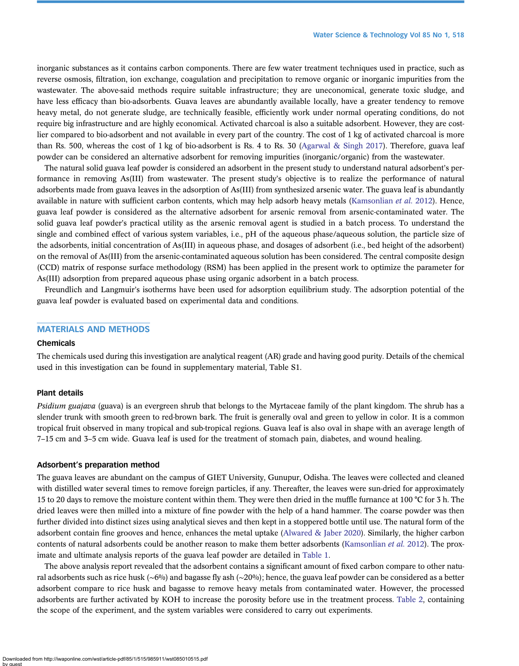inorganic substances as it contains carbon components. There are few water treatment techniques used in practice, such as reverse osmosis, filtration, ion exchange, coagulation and precipitation to remove organic or inorganic impurities from the wastewater. The above-said methods require suitable infrastructure; they are uneconomical, generate toxic sludge, and have less efficacy than bio-adsorbents. Guava leaves are abundantly available locally, have a greater tendency to remove heavy metal, do not generate sludge, are technically feasible, efficiently work under normal operating conditions, do not require big infrastructure and are highly economical. Activated charcoal is also a suitable adsorbent. However, they are costlier compared to bio-adsorbent and not available in every part of the country. The cost of 1 kg of activated charcoal is more than Rs. 500, whereas the cost of 1 kg of bio-adsorbent is Rs. 4 to Rs. 30 [\(Agarwal & Singh 2017\)](#page-18-0). Therefore, guava leaf powder can be considered an alternative adsorbent for removing impurities (inorganic/organic) from the wastewater.

The natural solid guava leaf powder is considered an adsorbent in the present study to understand natural adsorbent's performance in removing As(III) from wastewater. The present study's objective is to realize the performance of natural adsorbents made from guava leaves in the adsorption of As(III) from synthesized arsenic water. The guava leaf is abundantly available in nature with sufficient carbon contents, which may help adsorb heavy metals ([Kamsonlian](#page-18-0) et al. 2012). Hence, guava leaf powder is considered as the alternative adsorbent for arsenic removal from arsenic-contaminated water. The solid guava leaf powder's practical utility as the arsenic removal agent is studied in a batch process. To understand the single and combined effect of various system variables, i.e., pH of the aqueous phase/aqueous solution, the particle size of the adsorbents, initial concentration of As(III) in aqueous phase, and dosages of adsorbent (i.e., bed height of the adsorbent) on the removal of As(III) from the arsenic-contaminated aqueous solution has been considered. The central composite design (CCD) matrix of response surface methodology (RSM) has been applied in the present work to optimize the parameter for As(III) adsorption from prepared aqueous phase using organic adsorbent in a batch process.

Freundlich and Langmuir's isotherms have been used for adsorption equilibrium study. The adsorption potential of the guava leaf powder is evaluated based on experimental data and conditions.

# MATERIALS AND METHODS

#### Chemicals

The chemicals used during this investigation are analytical reagent (AR) grade and having good purity. Details of the chemical used in this investigation can be found in supplementary material, Table S1.

### Plant details

Psidium guajava (guava) is an evergreen shrub that belongs to the Myrtaceae family of the plant kingdom. The shrub has a slender trunk with smooth green to red-brown bark. The fruit is generally oval and green to yellow in color. It is a common tropical fruit observed in many tropical and sub-tropical regions. Guava leaf is also oval in shape with an average length of 7–15 cm and 3–5 cm wide. Guava leaf is used for the treatment of stomach pain, diabetes, and wound healing.

#### Adsorbent's preparation method

The guava leaves are abundant on the campus of GIET University, Gunupur, Odisha. The leaves were collected and cleaned with distilled water several times to remove foreign particles, if any. Thereafter, the leaves were sun-dried for approximately 15 to 20 days to remove the moisture content within them. They were then dried in the muffle furnance at 100 °C for 3 h. The dried leaves were then milled into a mixture of fine powder with the help of a hand hammer. The coarse powder was then further divided into distinct sizes using analytical sieves and then kept in a stoppered bottle until use. The natural form of the adsorbent contain fine grooves and hence, enhances the metal uptake ([Alwared & Jaber 2020\)](#page-18-0). Similarly, the higher carbon contents of natural adsorbents could be another reason to make them better adsorbents ([Kamsonlian](#page-18-0) *et al.* 2012). The proximate and ultimate analysis reports of the guava leaf powder are detailed in [Table 1.](#page-4-0)

The above analysis report revealed that the adsorbent contains a significant amount of fixed carbon compare to other natural adsorbents such as rice husk (∼6%) and bagasse fly ash (∼20%); hence, the guava leaf powder can be considered as a better adsorbent compare to rice husk and bagasse to remove heavy metals from contaminated water. However, the processed adsorbents are further activated by KOH to increase the porosity before use in the treatment process. [Table 2,](#page-4-0) containing the scope of the experiment, and the system variables were considered to carry out experiments.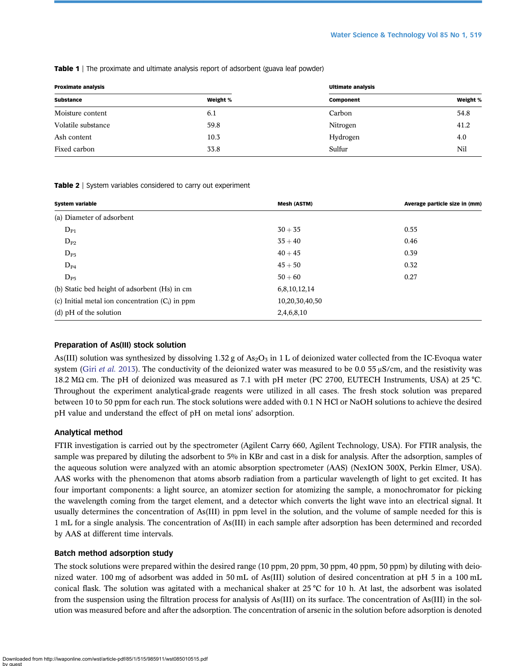| <b>Proximate analysis</b> |          | <b>Ultimate analysis</b> |          |
|---------------------------|----------|--------------------------|----------|
| <b>Substance</b>          | Weight % | Component                | Weight % |
| Moisture content          | 6.1      | Carbon                   | 54.8     |
| Volatile substance        | 59.8     | Nitrogen                 | 41.2     |
| Ash content               | 10.3     | Hydrogen                 | 4.0      |
| Fixed carbon              | 33.8     | Sulfur                   | Nil      |

<span id="page-4-0"></span>**Table 1** | The proximate and ultimate analysis report of adsorbent (guava leaf powder)

#### Table 2 | System variables considered to carry out experiment

| <b>System variable</b>                             | <b>Mesh (ASTM)</b> | Average particle size in (mm) |  |
|----------------------------------------------------|--------------------|-------------------------------|--|
| (a) Diameter of adsorbent                          |                    |                               |  |
| $D_{P1}$                                           | $30 + 35$          | 0.55                          |  |
| $D_{P2}$                                           | $35 + 40$          | 0.46                          |  |
| $D_{P3}$                                           | $40 + 45$          | 0.39                          |  |
| $D_{P4}$                                           | $45 + 50$          | 0.32                          |  |
| $D_{P5}$                                           | $50 + 60$          | 0.27                          |  |
| (b) Static bed height of adsorbent (Hs) in cm      | 6,8,10,12,14       |                               |  |
| (c) Initial metal ion concentration $(C_i)$ in ppm | 10,20,30,40,50     |                               |  |
| $(d)$ pH of the solution                           | 2,4,6,8,10         |                               |  |

# Preparation of As(III) stock solution

As(III) solution was synthesized by dissolving 1.32 g of As<sub>2</sub>O<sub>3</sub> in 1 L of deionized water collected from the IC-Evoqua water system (Giri [et al.](#page-18-0) 2013). The conductivity of the deionized water was measured to be 0.0 55  $\mu$ S/cm, and the resistivity was 18.2 MΩ cm. The pH of deionized was measured as 7.1 with pH meter (PC 2700, EUTECH Instruments, USA) at 25 °C. Throughout the experiment analytical-grade reagents were utilized in all cases. The fresh stock solution was prepared between 10 to 50 ppm for each run. The stock solutions were added with 0.1 N HCl or NaOH solutions to achieve the desired pH value and understand the effect of pH on metal ions' adsorption.

#### Analytical method

FTIR investigation is carried out by the spectrometer (Agilent Carry 660, Agilent Technology, USA). For FTIR analysis, the sample was prepared by diluting the adsorbent to 5% in KBr and cast in a disk for analysis. After the adsorption, samples of the aqueous solution were analyzed with an atomic absorption spectrometer (AAS) (NexION 300X, Perkin Elmer, USA). AAS works with the phenomenon that atoms absorb radiation from a particular wavelength of light to get excited. It has four important components: a light source, an atomizer section for atomizing the sample, a monochromator for picking the wavelength coming from the target element, and a detector which converts the light wave into an electrical signal. It usually determines the concentration of As(III) in ppm level in the solution, and the volume of sample needed for this is 1 mL for a single analysis. The concentration of As(III) in each sample after adsorption has been determined and recorded by AAS at different time intervals.

#### Batch method adsorption study

The stock solutions were prepared within the desired range (10 ppm, 20 ppm, 30 ppm, 40 ppm, 50 ppm) by diluting with deionized water. 100 mg of adsorbent was added in 50 mL of As(III) solution of desired concentration at pH 5 in a 100 mL conical flask. The solution was agitated with a mechanical shaker at  $25^{\circ}$ C for 10 h. At last, the adsorbent was isolated from the suspension using the filtration process for analysis of As(III) on its surface. The concentration of As(III) in the solution was measured before and after the adsorption. The concentration of arsenic in the solution before adsorption is denoted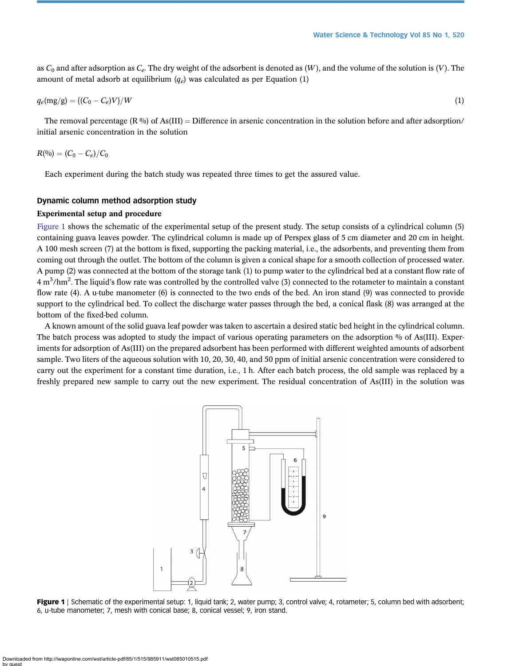as  $C_0$  and after adsorption as  $C_e$ . The dry weight of the adsorbent is denoted as  $(W)$ , and the volume of the solution is  $(V)$ . The amount of metal adsorb at equilibrium  $(q_e)$  was calculated as per Equation (1)

$$
q_e(\text{mg/g}) = \{ (C_0 - C_e)V \} / W \tag{1}
$$

The removal percentage (R %) of As(III) = Difference in arsenic concentration in the solution before and after adsorption/ initial arsenic concentration in the solution

$$
R(^{0}_{0})=(C_{0}-C_{e})/C_{0}
$$

Each experiment during the batch study was repeated three times to get the assured value.

# Dynamic column method adsorption study

# Experimental setup and procedure

Figure 1 shows the schematic of the experimental setup of the present study. The setup consists of a cylindrical column (5) containing guava leaves powder. The cylindrical column is made up of Perspex glass of 5 cm diameter and 20 cm in height. A 100 mesh screen (7) at the bottom is fixed, supporting the packing material, i.e., the adsorbents, and preventing them from coming out through the outlet. The bottom of the column is given a conical shape for a smooth collection of processed water. A pump (2) was connected at the bottom of the storage tank (1) to pump water to the cylindrical bed at a constant flow rate of 4 m<sup>3</sup>/hm<sup>2</sup>. The liquid's flow rate was controlled by the controlled valve (3) connected to the rotameter to maintain a constant flow rate (4). A u-tube manometer (6) is connected to the two ends of the bed. An iron stand (9) was connected to provide support to the cylindrical bed. To collect the discharge water passes through the bed, a conical flask (8) was arranged at the bottom of the fixed-bed column.

A known amount of the solid guava leaf powder was taken to ascertain a desired static bed height in the cylindrical column. The batch process was adopted to study the impact of various operating parameters on the adsorption % of As(III). Experiments for adsorption of As(III) on the prepared adsorbent has been performed with different weighted amounts of adsorbent sample. Two liters of the aqueous solution with 10, 20, 30, 40, and 50 ppm of initial arsenic concentration were considered to carry out the experiment for a constant time duration, i.e., 1 h. After each batch process, the old sample was replaced by a freshly prepared new sample to carry out the new experiment. The residual concentration of As(III) in the solution was



Figure 1 | Schematic of the experimental setup: 1, liquid tank; 2, water pump; 3, control valve; 4, rotameter; 5, column bed with adsorbent; 6, u-tube manometer; 7, mesh with conical base; 8, conical vessel; 9, iron stand.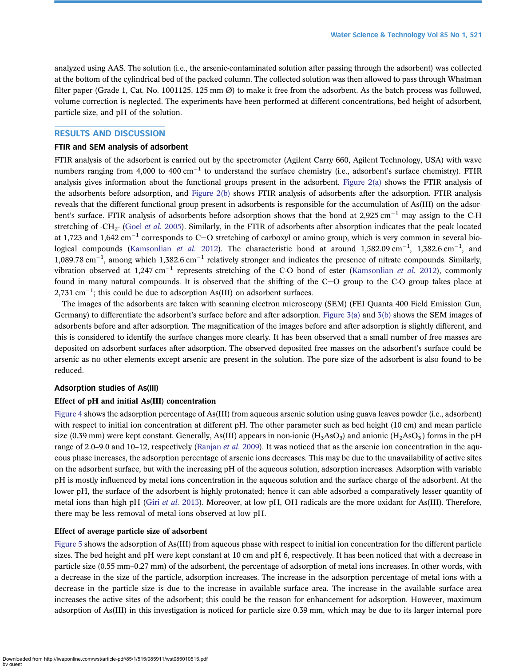analyzed using AAS. The solution (i.e., the arsenic-contaminated solution after passing through the adsorbent) was collected at the bottom of the cylindrical bed of the packed column. The collected solution was then allowed to pass through Whatman filter paper (Grade 1, Cat. No. 1001125, 125 mm  $\varnothing$ ) to make it free from the adsorbent. As the batch process was followed, volume correction is neglected. The experiments have been performed at different concentrations, bed height of adsorbent, particle size, and pH of the solution.

# RESULTS AND DISCUSSION

### FTIR and SEM analysis of adsorbent

FTIR analysis of the adsorbent is carried out by the spectrometer (Agilent Carry 660, Agilent Technology, USA) with wave numbers ranging from 4,000 to 400  $cm^{-1}$  to understand the surface chemistry (i.e., adsorbent's surface chemistry). FTIR analysis gives information about the functional groups present in the adsorbent. Figure  $2(a)$  shows the FTIR analysis of the adsorbents before adsorption, and [Figure 2\(b\)](#page-7-0) shows FTIR analysis of adsorbents after the adsorption. FTIR analysis reveals that the different functional group present in adsorbents is responsible for the accumulation of As(III) on the adsorbent's surface. FTIR analysis of adsorbents before adsorption shows that the bond at 2,925  $\rm cm^{-1}$  may assign to the C-H stretching of  $\text{-CH}_2$ - (Goel *[et al.](#page-18-0)* 2005). Similarly, in the FTIR of adsorbents after absorption indicates that the peak located at 1,723 and 1,642 cm<sup>-1</sup> corresponds to C=O stretching of carboxyl or amino group, which is very common in several bio-logical compounds ([Kamsonlian](#page-18-0) *et al.* 2012). The characteristic bond at around 1,582.09 cm<sup>-1</sup>, 1,382.6 cm<sup>-1</sup>, and  $1,089.78 \text{ cm}^{-1}$ , among which  $1,382.6 \text{ cm}^{-1}$  relatively stronger and indicates the presence of nitrate compounds. Similarly, vibration observed at 1,247 cm<sup>-1</sup> represents stretching of the C-O bond of ester ([Kamsonlian](#page-18-0) *et al.* 2012), commonly found in many natural compounds. It is observed that the shifting of the  $C=O$  group to the C-O group takes place at  $2,731$  cm<sup>-1</sup>; this could be due to adsorption As(III) on adsorbent surfaces.

The images of the adsorbents are taken with scanning electron microscopy (SEM) (FEI Quanta 400 Field Emission Gun, Germany) to differentiate the adsorbent's surface before and after adsorption. [Figure 3\(a\)](#page-8-0) and [3\(b\)](#page-8-0) shows the SEM images of adsorbents before and after adsorption. The magnification of the images before and after adsorption is slightly different, and this is considered to identify the surface changes more clearly. It has been observed that a small number of free masses are deposited on adsorbent surfaces after adsorption. The observed deposited free masses on the adsorbent's surface could be arsenic as no other elements except arsenic are present in the solution. The pore size of the adsorbent is also found to be reduced.

# Adsorption studies of As(III)

# Effect of pH and initial As(III) concentration

[Figure 4](#page-8-0) shows the adsorption percentage of As(III) from aqueous arsenic solution using guava leaves powder (i.e., adsorbent) with respect to initial ion concentration at different pH. The other parameter such as bed height (10 cm) and mean particle size (0.39 mm) were kept constant. Generally, As(III) appears in non-ionic (H<sub>3</sub>AsO<sub>3</sub>) and anionic (H<sub>2</sub>AsO<sub>3</sub>) forms in the pH range of 2.0–9.0 and 10–12, respectively [\(Ranjan](#page-19-0) *et al.* 2009). It was noticed that as the arsenic ion concentration in the aqueous phase increases, the adsorption percentage of arsenic ions decreases. This may be due to the unavailability of active sites on the adsorbent surface, but with the increasing pH of the aqueous solution, adsorption increases. Adsorption with variable pH is mostly influenced by metal ions concentration in the aqueous solution and the surface charge of the adsorbent. At the lower pH, the surface of the adsorbent is highly protonated; hence it can able adsorbed a comparatively lesser quantity of metal ions than high pH (Giri [et al.](#page-18-0) 2013). Moreover, at low pH, OH radicals are the more oxidant for As(III). Therefore, there may be less removal of metal ions observed at low pH.

# Effect of average particle size of adsorbent

[Figure 5](#page-9-0) shows the adsorption of As(III) from aqueous phase with respect to initial ion concentration for the different particle sizes. The bed height and pH were kept constant at 10 cm and pH 6, respectively. It has been noticed that with a decrease in particle size (0.55 mm–0.27 mm) of the adsorbent, the percentage of adsorption of metal ions increases. In other words, with a decrease in the size of the particle, adsorption increases. The increase in the adsorption percentage of metal ions with a decrease in the particle size is due to the increase in available surface area. The increase in the available surface area increases the active sites of the adsorbent; this could be the reason for enhancement for adsorption. However, maximum adsorption of As(III) in this investigation is noticed for particle size 0.39 mm, which may be due to its larger internal pore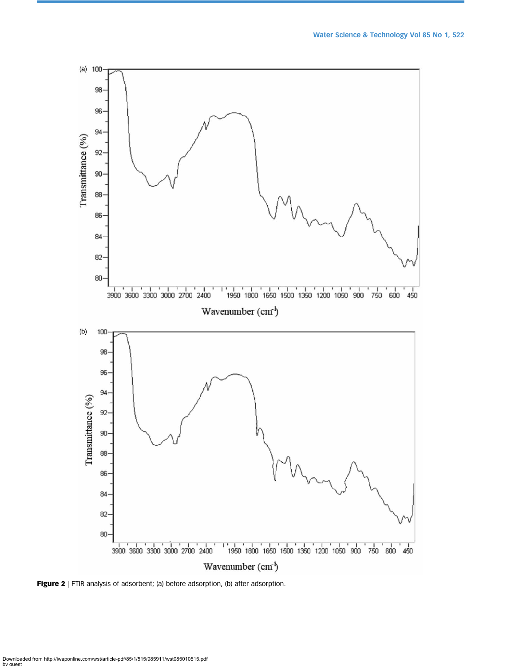<span id="page-7-0"></span>

Figure 2 | FTIR analysis of adsorbent; (a) before adsorption, (b) after adsorption.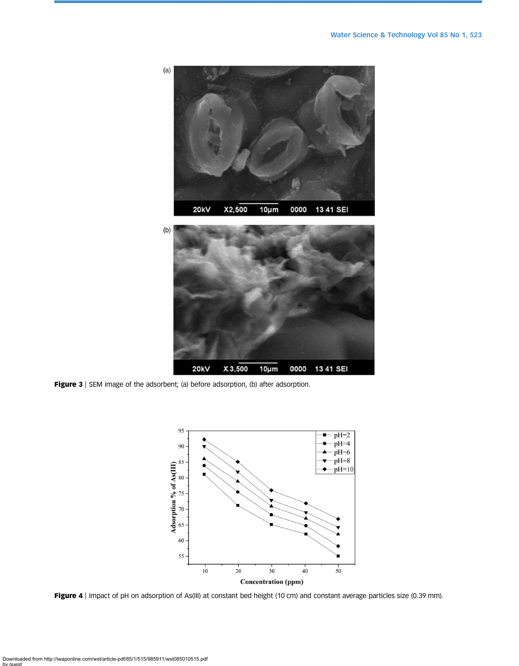<span id="page-8-0"></span>

Figure 3 | SEM image of the adsorbent; (a) before adsorption, (b) after adsorption.



Figure 4 | Impact of pH on adsorption of As(III) at constant bed height (10 cm) and constant average particles size (0.39 mm).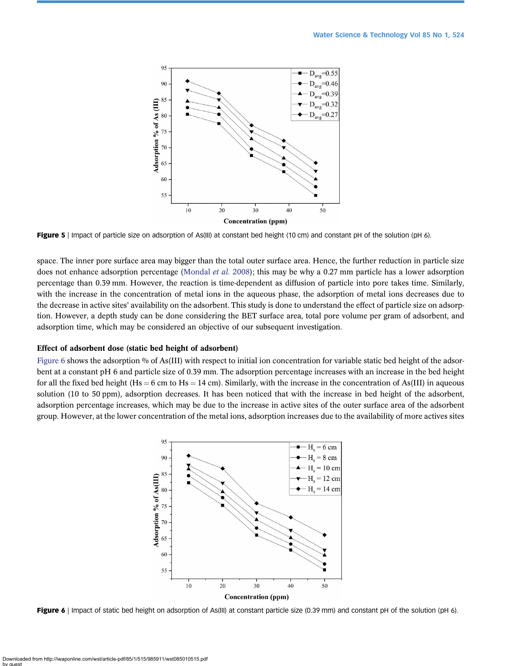<span id="page-9-0"></span>

Figure 5 | Impact of particle size on adsorption of As(III) at constant bed height (10 cm) and constant pH of the solution (pH 6).

space. The inner pore surface area may bigger than the total outer surface area. Hence, the further reduction in particle size does not enhance adsorption percentage [\(Mondal](#page-19-0) et al. 2008); this may be why a 0.27 mm particle has a lower adsorption percentage than 0.39 mm. However, the reaction is time-dependent as diffusion of particle into pore takes time. Similarly, with the increase in the concentration of metal ions in the aqueous phase, the adsorption of metal ions decreases due to the decrease in active sites' availability on the adsorbent. This study is done to understand the effect of particle size on adsorption. However, a depth study can be done considering the BET surface area, total pore volume per gram of adsorbent, and adsorption time, which may be considered an objective of our subsequent investigation.

#### Effect of adsorbent dose (static bed height of adsorbent)

Figure 6 shows the adsorption % of As(III) with respect to initial ion concentration for variable static bed height of the adsorbent at a constant pH 6 and particle size of 0.39 mm. The adsorption percentage increases with an increase in the bed height for all the fixed bed height (Hs = 6 cm to Hs = 14 cm). Similarly, with the increase in the concentration of As(III) in aqueous solution (10 to 50 ppm), adsorption decreases. It has been noticed that with the increase in bed height of the adsorbent, adsorption percentage increases, which may be due to the increase in active sites of the outer surface area of the adsorbent group. However, at the lower concentration of the metal ions, adsorption increases due to the availability of more actives sites



Figure 6 | Impact of static bed height on adsorption of As(III) at constant particle size (0.39 mm) and constant pH of the solution (pH 6).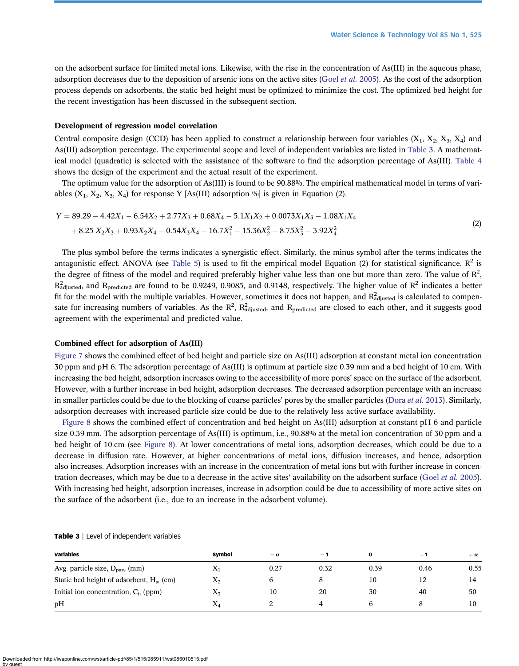on the adsorbent surface for limited metal ions. Likewise, with the rise in the concentration of As(III) in the aqueous phase, adsorption decreases due to the deposition of arsenic ions on the active sites (Goel [et al.](#page-18-0) 2005). As the cost of the adsorption process depends on adsorbents, the static bed height must be optimized to minimize the cost. The optimized bed height for the recent investigation has been discussed in the subsequent section.

#### Development of regression model correlation

Central composite design (CCD) has been applied to construct a relationship between four variables  $(X_1, X_2, X_3, X_4)$  and As(III) adsorption percentage. The experimental scope and level of independent variables are listed in Table 3. A mathematical model (quadratic) is selected with the assistance of the software to find the adsorption percentage of As(III). [Table 4](#page-11-0) shows the design of the experiment and the actual result of the experiment.

The optimum value for the adsorption of As(III) is found to be 90.88%. The empirical mathematical model in terms of variables  $(X_1, X_2, X_3, X_4)$  for response Y [As(III) adsorption  $\%$ ] is given in Equation (2).

$$
Y = 89.29 - 4.42X_1 - 6.54X_2 + 2.77X_3 + 0.68X_4 - 5.1X_1X_2 + 0.0073X_1X_3 - 1.08X_1X_4
$$
  
+ 8.25 X<sub>2</sub>X<sub>3</sub> + 0.93X<sub>2</sub>X<sub>4</sub> - 0.54X<sub>3</sub>X<sub>4</sub> - 16.7X<sub>1</sub><sup>2</sup> - 15.36X<sub>2</sub><sup>2</sup> - 8.75X<sub>3</sub><sup>2</sup> - 3.92X<sub>4</sub><sup>2</sup> (2)

The plus symbol before the terms indicates a synergistic effect. Similarly, the minus symbol after the terms indicates the antagonistic effect. ANOVA (see [Table 5\)](#page-12-0) is used to fit the empirical model Equation (2) for statistical significance.  $R^2$  is the degree of fitness of the model and required preferably higher value less than one but more than zero. The value of  $R^2$ ,  $R_{\text{adjusted}}^2$  and  $R_{\text{predicted}}$  are found to be 0.9249, 0.9085, and 0.9148, respectively. The higher value of  $R^2$  indicates a better fit for the model with the multiple variables. However, sometimes it does not happen, and  $R^2_{\text{adjusted}}$  is calculated to compensate for increasing numbers of variables. As the  $R^2$ ,  $R^2_{\text{adjusted}}$  and  $R_{\text{predicted}}$  are closed to each other, and it suggests good agreement with the experimental and predicted value.

# Combined effect for adsorption of As(III)

[Figure 7](#page-12-0) shows the combined effect of bed height and particle size on As(III) adsorption at constant metal ion concentration 30 ppm and pH 6. The adsorption percentage of As(III) is optimum at particle size 0.39 mm and a bed height of 10 cm. With increasing the bed height, adsorption increases owing to the accessibility of more pores' space on the surface of the adsorbent. However, with a further increase in bed height, adsorption decreases. The decreased adsorption percentage with an increase in smaller particles could be due to the blocking of coarse particles' pores by the smaller particles ([Dora](#page-18-0) et al. 2013). Similarly, adsorption decreases with increased particle size could be due to the relatively less active surface availability.

[Figure 8](#page-13-0) shows the combined effect of concentration and bed height on As(III) adsorption at constant pH 6 and particle size 0.39 mm. The adsorption percentage of As(III) is optimum, i.e., 90.88% at the metal ion concentration of 30 ppm and a bed height of 10 cm (see [Figure 8\)](#page-13-0). At lower concentrations of metal ions, adsorption decreases, which could be due to a decrease in diffusion rate. However, at higher concentrations of metal ions, diffusion increases, and hence, adsorption also increases. Adsorption increases with an increase in the concentration of metal ions but with further increase in concen-tration decreases, which may be due to a decrease in the active sites' availability on the adsorbent surface (Goel et al. [2005\)](#page-18-0). With increasing bed height, adsorption increases, increase in adsorption could be due to accessibility of more active sites on the surface of the adsorbent (i.e., due to an increase in the adsorbent volume).

| <b>Variables</b>                                      | Symbol    | $-\alpha$ | $-1$ |      | $+1$ | $+a$ |
|-------------------------------------------------------|-----------|-----------|------|------|------|------|
| Avg. particle size, $D_{\text{pav}}$ , (mm)           | $X_1$     | 0.27      | 0.32 | 0.39 | 0.46 | 0.55 |
| Static bed height of adsorbent, H <sub>s</sub> , (cm) | $X_2$     |           |      | 10   | 12   | 14   |
| Initial ion concentration, $C_i$ , (ppm)              | $\rm X_3$ | 10        | 20   | 30   | 40   | 50   |
| pH                                                    | $X_4$     |           |      |      |      | 10   |

Table 3 | Level of independent variables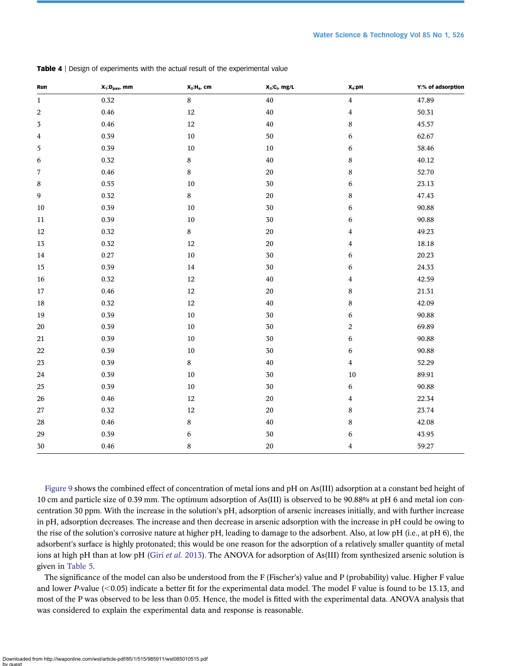| Run          | $X_1$ : D <sub>pav</sub> , mm | $X_2$ : H <sub>s</sub> , cm | $X_3:C_i$ , mg/L | $X_4$ :pH               | Y:% of adsorption |
|--------------|-------------------------------|-----------------------------|------------------|-------------------------|-------------------|
| $\mathbf{1}$ | 0.32                          | $\bf 8$                     | 40               | $\overline{\mathbf{4}}$ | 47.89             |
| 2            | 0.46                          | 12                          | 40               | 4                       | 50.31             |
| 3            | 0.46                          | 12                          | $40\,$           | 8                       | 45.57             |
| 4            | 0.39                          | $10\,$                      | $50\,$           | 6                       | 62.67             |
| $\mathbf 5$  | 0.39                          | $10\,$                      | $10\,$           | 6                       | 58.46             |
| 6            | $0.32\,$                      | $\bf 8$                     | 40               | 8                       | 40.12             |
| 7            | 0.46                          | $\bf 8$                     | $20\,$           | 8                       | 52.70             |
| 8            | 0.55                          | $10\,$                      | $30\,$           | $\,$ 6 $\,$             | 23.13             |
| 9            | $0.32\,$                      | $\,8\,$                     | $20\,$           | $\,$ 8 $\,$             | 47.43             |
| 10           | 0.39                          | 10                          | 30               | 6                       | 90.88             |
| 11           | 0.39                          | $10\,$                      | 30               | 6                       | 90.88             |
| $12\,$       | $0.32\,$                      | $\bf 8$                     | $20\,$           | 4                       | 49.23             |
| $13\,$       | $0.32\,$                      | 12                          | $20\,$           | 4                       | 18.18             |
| 14           | 0.27                          | 10                          | 30               | 6                       | 20.23             |
| 15           | 0.39                          | 14                          | 30               | 6                       | 24.33             |
| $16\,$       | $0.32\,$                      | 12                          | $40\,$           | 4                       | 42.59             |
| $17\,$       | 0.46                          | $12\,$                      | $20\,$           | $\,$ 8 $\,$             | 21.31             |
| $18\,$       | $0.32\,$                      | 12                          | 40               | $\bf 8$                 | 42.09             |
| 19           | 0.39                          | 10                          | 30               | 6                       | 90.88             |
| $20\,$       | 0.39                          | $10\,$                      | $30\,$           | 2                       | 69.89             |
| 21           | 0.39                          | $10\,$                      | $30\,$           | 6                       | 90.88             |
| 22           | 0.39                          | $10\,$                      | $30\,$           | 6                       | 90.88             |
| $23\,$       | 0.39                          | $\bf 8$                     | 40               | 4                       | 52.29             |
| 24           | 0.39                          | 10                          | 30               | 10                      | 89.91             |
| $25\,$       | 0.39                          | $10\,$                      | $30\,$           | 6                       | 90.88             |
| $26\,$       | 0.46                          | 12                          | $20\,$           | 4                       | 22.34             |
| 27           | $0.32\,$                      | 12                          | 20               | 8                       | 23.74             |
| $28\,$       | 0.46                          | 8                           | 40               | 8                       | 42.08             |
| $29\,$       | 0.39                          | 6                           | $30\,$           | 6                       | 43.95             |
| $30\,$       | 0.46                          | $\bf 8$                     | $20\,$           | $\overline{\mathbf{4}}$ | 59.27             |

<span id="page-11-0"></span>Table 4 | Design of experiments with the actual result of the experimental value

[Figure 9](#page-13-0) shows the combined effect of concentration of metal ions and pH on As(III) adsorption at a constant bed height of 10 cm and particle size of 0.39 mm. The optimum adsorption of As(III) is observed to be 90.88% at pH 6 and metal ion concentration 30 ppm. With the increase in the solution's pH, adsorption of arsenic increases initially, and with further increase in pH, adsorption decreases. The increase and then decrease in arsenic adsorption with the increase in pH could be owing to the rise of the solution's corrosive nature at higher pH, leading to damage to the adsorbent. Also, at low pH (i.e., at pH 6), the adsorbent's surface is highly protonated; this would be one reason for the adsorption of a relatively smaller quantity of metal ions at high pH than at low pH (Giri et al. [2013](#page-18-0)). The ANOVA for adsorption of As(III) from synthesized arsenic solution is given in [Table 5](#page-12-0).

The significance of the model can also be understood from the F (Fischer's) value and P (probability) value. Higher F value and lower P-value  $(<0.05)$  indicate a better fit for the experimental data model. The model F value is found to be 13.13, and most of the P was observed to be less than 0.05. Hence, the model is fitted with the experimental data. ANOVA analysis that was considered to explain the experimental data and response is reasonable.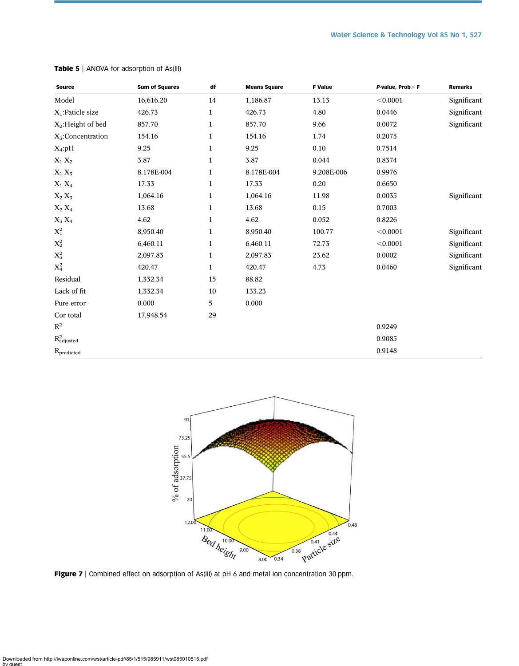| <b>Source</b>                 | <b>Sum of Squares</b> | df           | <b>Means Square</b> | <b>F</b> Value | P-value, Prob>F | Remarks     |
|-------------------------------|-----------------------|--------------|---------------------|----------------|-----------------|-------------|
| Model                         | 16,616.20             | 14           | 1,186.87            | 13.13          | < 0.0001        | Significant |
| $X_1$ : Paticle size          | 426.73                | $\mathbf 1$  | 426.73              | 4.80           | 0.0446          | Significant |
| $X_2$ : Height of bed         | 857.70                | $\mathbf 1$  | 857.70              | 9.66           | 0.0072          | Significant |
| $X_5$ :Concentration          | 154.16                | $\mathbf{1}$ | 154.16              | 1.74           | 0.2075          |             |
| $X_4: pH$                     | 9.25                  | $\mathbf{1}$ | 9.25                | 0.10           | 0.7514          |             |
| $X_1 X_2$                     | 3.87                  | $\mathbf{1}$ | 3.87                | 0.044          | 0.8374          |             |
| $X_1 X_3$                     | 8.178E-004            | $\mathbf 1$  | 8.178E-004          | 9.208E-006     | 0.9976          |             |
| $\mathbf{X}_1$ $\mathbf{X}_4$ | 17.33                 | $\mathbf{1}$ | 17.33               | 0.20           | 0.6650          |             |
| $\mathbf{X}_2$ $\mathbf{X}_3$ | 1,064.16              | $\mathbf{1}$ | 1,064.16            | 11.98          | 0.0035          | Significant |
| $X_2 X_4$                     | 13.68                 | $\mathbf 1$  | 13.68               | 0.15           | 0.7003          |             |
| $X_3 X_4$                     | 4.62                  | $\mathbf 1$  | 4.62                | 0.052          | 0.8226          |             |
| $X_1^2$                       | 8,950.40              | $\mathbf{1}$ | 8,950.40            | 100.77         | < 0.0001        | Significant |
| $X_2^2$                       | 6,460.11              | $\mathbf{1}$ | 6,460.11            | 72.73          | < 0.0001        | Significant |
| $X_3^2$                       | 2,097.83              | $\mathbf{1}$ | 2,097.83            | 23.62          | 0.0002          | Significant |
| $X_4^2$                       | 420.47                | $\mathbf{1}$ | 420.47              | 4.73           | 0.0460          | Significant |
| Residual                      | 1,332.34              | 15           | 88.82               |                |                 |             |
| Lack of fit                   | 1,332.34              | 10           | 133.23              |                |                 |             |
| Pure error                    | 0.000                 | 5            | 0.000               |                |                 |             |
| Cor total                     | 17,948.54             | 29           |                     |                |                 |             |
| $\mathbb{R}^2$                |                       |              |                     |                | 0.9249          |             |
| $R^2_{adjusted}$              |                       |              |                     |                | 0.9085          |             |
| R <sub>predicted</sub>        |                       |              |                     |                | 0.9148          |             |

<span id="page-12-0"></span>Table 5 | ANOVA for adsorption of As(III)



Figure 7 | Combined effect on adsorption of As(III) at pH 6 and metal ion concentration 30 ppm.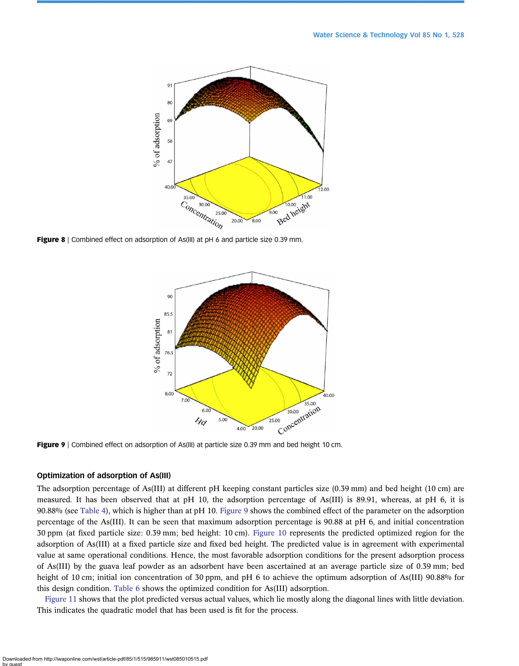<span id="page-13-0"></span>

Figure 8 | Combined effect on adsorption of As(III) at pH 6 and particle size 0.39 mm.



Figure 9 | Combined effect on adsorption of As(III) at particle size 0.39 mm and bed height 10 cm.

# Optimization of adsorption of As(III)

The adsorption percentage of As(III) at different pH keeping constant particles size (0.39 mm) and bed height (10 cm) are measured. It has been observed that at pH 10, the adsorption percentage of As(III) is 89.91, whereas, at pH 6, it is 90.88% (see [Table 4](#page-11-0)), which is higher than at pH 10. Figure 9 shows the combined effect of the parameter on the adsorption percentage of the As(III). It can be seen that maximum adsorption percentage is 90.88 at pH 6, and initial concentration 30 ppm (at fixed particle size: 0.39 mm; bed height: 10 cm). [Figure 10](#page-14-0) represents the predicted optimized region for the adsorption of As(III) at a fixed particle size and fixed bed height. The predicted value is in agreement with experimental value at same operational conditions. Hence, the most favorable adsorption conditions for the present adsorption process of As(III) by the guava leaf powder as an adsorbent have been ascertained at an average particle size of 0.39 mm; bed height of 10 cm; initial ion concentration of 30 ppm, and pH 6 to achieve the optimum adsorption of As(III) 90.88% for this design condition. [Table 6](#page-14-0) shows the optimized condition for As(III) adsorption.

[Figure 11](#page-14-0) shows that the plot predicted versus actual values, which lie mostly along the diagonal lines with little deviation. This indicates the quadratic model that has been used is fit for the process.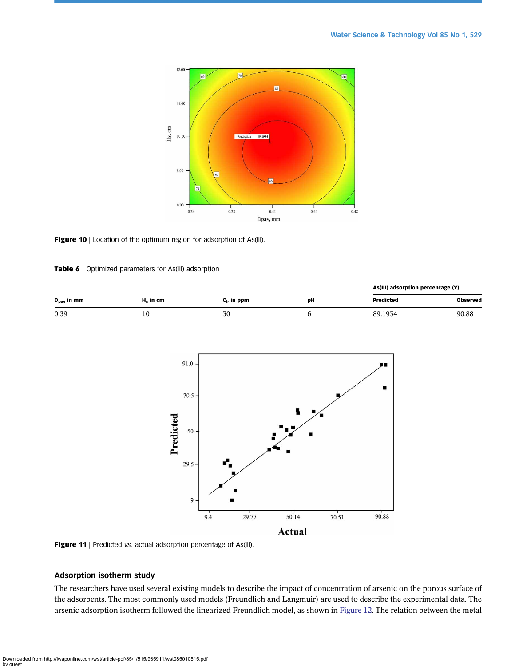<span id="page-14-0"></span>

#### Figure 10 | Location of the optimum region for adsorption of As(III).

# Table 6 | Optimized parameters for As(III) adsorption

|                        |             |                |    | As(III) adsorption percentage (Y) |                 |
|------------------------|-------------|----------------|----|-----------------------------------|-----------------|
| $D_{\text{nav}}$ in mm | $H_s$ in cm | $c_i$ , in ppm | pН | <b>Predicted</b>                  | <b>Observed</b> |
| 0.39                   | 10          | 30             |    | 89.1934                           | 90.88           |



Figure 11 | Predicted vs. actual adsorption percentage of As(III).

# Adsorption isotherm study

The researchers have used several existing models to describe the impact of concentration of arsenic on the porous surface of the adsorbents. The most commonly used models (Freundlich and Langmuir) are used to describe the experimental data. The arsenic adsorption isotherm followed the linearized Freundlich model, as shown in [Figure 12.](#page-15-0) The relation between the metal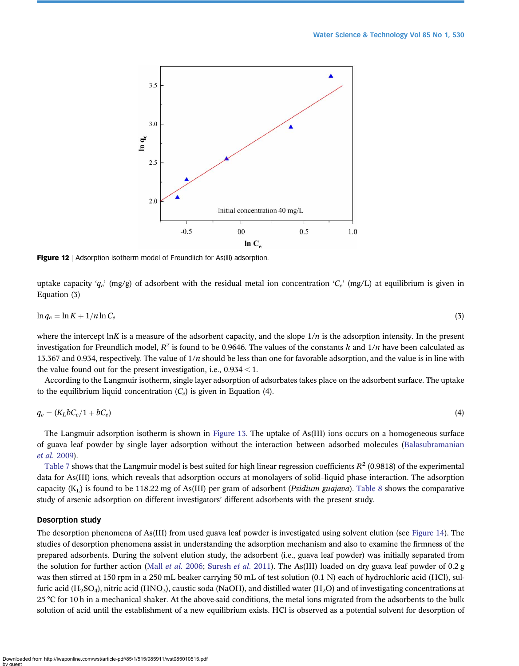<span id="page-15-0"></span>

**Figure 12** | Adsorption isotherm model of Freundlich for As(III) adsorption.

uptake capacity ' $q_e$ ' (mg/g) of adsorbent with the residual metal ion concentration ' $C_e$ ' (mg/L) at equilibrium is given in Equation (3)

$$
\ln q_e = \ln K + \frac{1}{n} \ln C_e \tag{3}
$$

where the intercept lnK is a measure of the adsorbent capacity, and the slope  $1/n$  is the adsorption intensity. In the present investigation for Freundlich model,  $R^2$  is found to be 0.9646. The values of the constants k and  $1/n$  have been calculated as 13.367 and 0.934, respectively. The value of  $1/n$  should be less than one for favorable adsorption, and the value is in line with the value found out for the present investigation, i.e.,  $0.934 < 1$ .

According to the Langmuir isotherm, single layer adsorption of adsorbates takes place on the adsorbent surface. The uptake to the equilibrium liquid concentration  $(C_e)$  is given in Equation (4).

$$
q_e = (K_L b C_e / 1 + b C_e) \tag{4}
$$

The Langmuir adsorption isotherm is shown in [Figure 13.](#page-16-0) The uptake of As(III) ions occurs on a homogeneous surface of guava leaf powder by single layer adsorption without the interaction between adsorbed molecules ([Balasubramanian](#page-18-0) [et al.](#page-18-0) 2009).

[Table 7](#page-16-0) shows that the Langmuir model is best suited for high linear regression coefficients  $R^2$  (0.9818) of the experimental data for As(III) ions, which reveals that adsorption occurs at monolayers of solid–liquid phase interaction. The adsorption capacity  $(K_L)$  is found to be 118.22 mg of As(III) per gram of adsorbent (*Psidium guajava*). [Table 8](#page-16-0) shows the comparative study of arsenic adsorption on different investigators' different adsorbents with the present study.

# Desorption study

The desorption phenomena of As(III) from used guava leaf powder is investigated using solvent elution (see [Figure 14\)](#page-17-0). The studies of desorption phenomena assist in understanding the adsorption mechanism and also to examine the firmness of the prepared adsorbents. During the solvent elution study, the adsorbent (i.e., guava leaf powder) was initially separated from the solution for further action (Mall *[et al.](#page-18-0)* 2006; [Suresh](#page-19-0) *et al.* 2011). The As(III) loaded on dry guava leaf powder of 0.2 g was then stirred at 150 rpm in a 250 mL beaker carrying 50 mL of test solution (0.1 N) each of hydrochloric acid (HCl), sulfuric acid (H<sub>2</sub>SO<sub>4</sub>), nitric acid (HNO<sub>3</sub>), caustic soda (NaOH), and distilled water (H<sub>2</sub>O) and of investigating concentrations at 25 °C for 10 h in a mechanical shaker. At the above-said conditions, the metal ions migrated from the adsorbents to the bulk solution of acid until the establishment of a new equilibrium exists. HCl is observed as a potential solvent for desorption of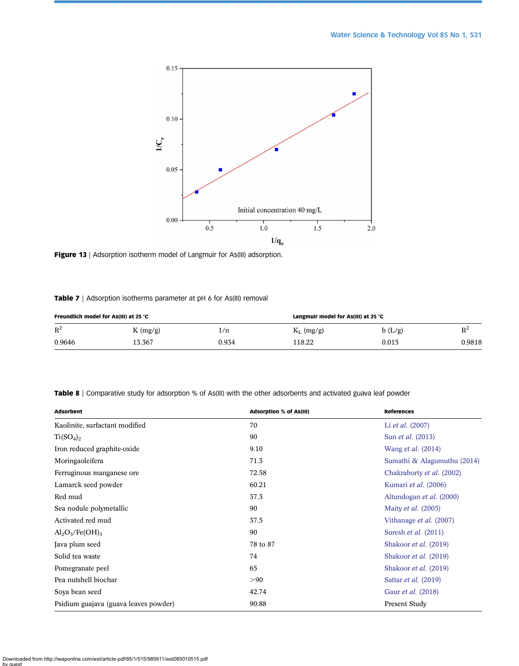<span id="page-16-0"></span>

Figure 13 | Adsorption isotherm model of Langmuir for As(III) adsorption.

# Table 7 | Adsorption isotherms parameter at pH 6 for As(III) removal

| Freundlich model for As(III) at 25 °C |         |       | Langmuir model for As(III) at 25 °C |        |        |
|---------------------------------------|---------|-------|-------------------------------------|--------|--------|
| $R^2$                                 | K(mg/g) | l/n   | $K_L$ (mg/g)                        | b(L/g) | $D^2$  |
| 0.9646                                | 13.367  | 0.934 | 118.22                              | 0.015  | 0.9818 |

Table 8 | Comparative study for adsorption % of As(III) with the other adsorbents and activated guava leaf powder

| <b>Adsorbent</b>                      | Adsorption % of As(III) | <b>References</b>           |
|---------------------------------------|-------------------------|-----------------------------|
| Kaolinite, surfactant modified        | 70                      | Li <i>et al.</i> (2007)     |
| $Ti(SO_4)_2$                          | 90                      | Sun <i>et al.</i> (2013)    |
| Iron reduced graphite-oxide           | 9.10                    | Wang <i>et al.</i> (2014)   |
| Moringaoleifera                       | 71.3                    | Sumathi & Alagumuthu (2014) |
| Ferruginous manganese ore             | 72.58                   | Chakraborty et al. (2002)   |
| Lamarck seed powder                   | 60.21                   | Kumari et al. (2006)        |
| Red mud                               | 37.3                    | Altundogan et al. (2000)    |
| Sea nodule polymetallic               | 90                      | Maity <i>et al.</i> (2005)  |
| Activated red mud                     | 37.5                    | Vithanage et al. (2007)     |
| $Al_2O_5/Fe(OH)_5$                    | 90                      | Suresh <i>et al.</i> (2011) |
| Java plum seed                        | 78 to 87                | Shakoor et al. (2019)       |
| Solid tea waste                       | 74                      | Shakoor et al. (2019)       |
| Pomegranate peel                      | 65                      | Shakoor et al. (2019)       |
| Pea nutshell biochar                  | >90                     | Sattar <i>et al.</i> (2019) |
| Soya bean seed                        | 42.74                   | Gaur et al. (2018)          |
| Psidium guajava (guava leaves powder) | 90.88                   | Present Study               |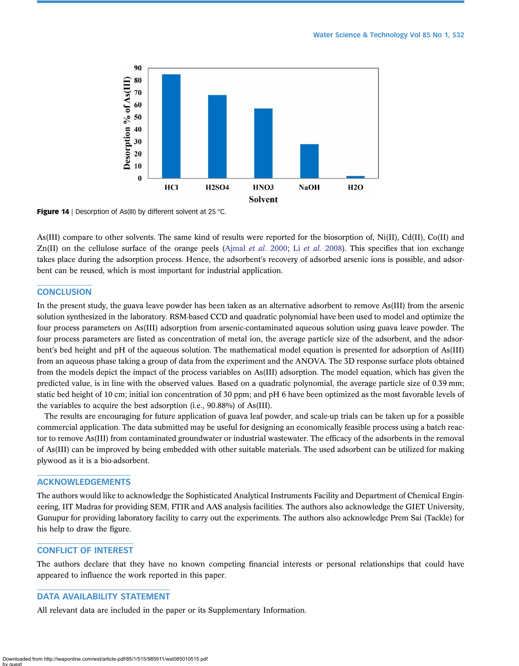<span id="page-17-0"></span>

Figure 14 | Desorption of As(III) by different solvent at 25 °C.

As(III) compare to other solvents. The same kind of results were reported for the biosorption of, Ni(II), Cd(II), Co(II) and Zn(II) on the cellulose surface of the orange peels (Aimal *[et al.](#page-18-0)* 2000; Li *et al.* 2008). This specifies that ion exchange takes place during the adsorption process. Hence, the adsorbent's recovery of adsorbed arsenic ions is possible, and adsorbent can be reused, which is most important for industrial application.

# **CONCLUSION**

In the present study, the guava leave powder has been taken as an alternative adsorbent to remove As(III) from the arsenic solution synthesized in the laboratory. RSM-based CCD and quadratic polynomial have been used to model and optimize the four process parameters on As(III) adsorption from arsenic-contaminated aqueous solution using guava leave powder. The four process parameters are listed as concentration of metal ion, the average particle size of the adsorbent, and the adsorbent's bed height and pH of the aqueous solution. The mathematical model equation is presented for adsorption of As(III) from an aqueous phase taking a group of data from the experiment and the ANOVA. The 3D response surface plots obtained from the models depict the impact of the process variables on As(III) adsorption. The model equation, which has given the predicted value, is in line with the observed values. Based on a quadratic polynomial, the average particle size of 0.39 mm; static bed height of 10 cm; initial ion concentration of 30 ppm; and pH 6 have been optimized as the most favorable levels of the variables to acquire the best adsorption (i.e., 90.88%) of As(III).

The results are encouraging for future application of guava leaf powder, and scale-up trials can be taken up for a possible commercial application. The data submitted may be useful for designing an economically feasible process using a batch reactor to remove As(III) from contaminated groundwater or industrial wastewater. The efficacy of the adsorbents in the removal of As(III) can be improved by being embedded with other suitable materials. The used adsorbent can be utilized for making plywood as it is a bio-adsorbent.

# ACKNOWLEDGEMENTS

The authors would like to acknowledge the Sophisticated Analytical Instruments Facility and Department of Chemical Engineering, IIT Madras for providing SEM, FTIR and AAS analysis facilities. The authors also acknowledge the GIET University, Gunupur for providing laboratory facility to carry out the experiments. The authors also acknowledge Prem Sai (Tackle) for his help to draw the figure.

# CONFLICT OF INTEREST

The authors declare that they have no known competing financial interests or personal relationships that could have appeared to influence the work reported in this paper.

# DATA AVAILABILITY STATEMENT

All relevant data are included in the paper or its Supplementary Information.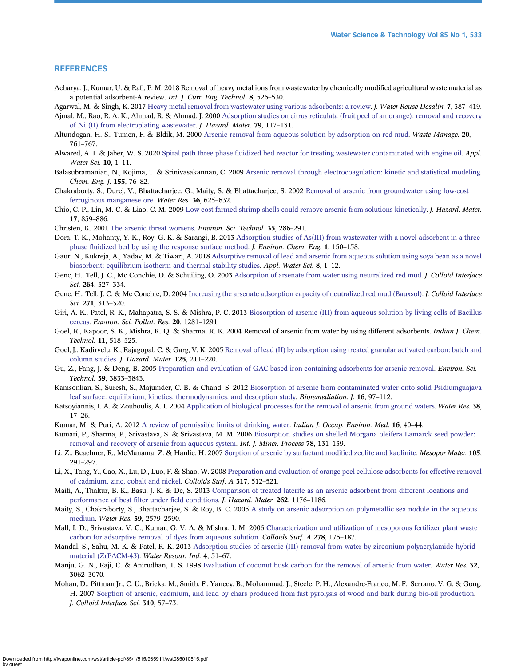# <span id="page-18-0"></span>**REFERENCES**

Acharya, J., Kumar, U. & Rafi, P. M. 2018 Removal of heavy metal ions from wastewater by chemically modified agricultural waste material as a potential adsorbent-A review. Int. J. Curr. Eng. Technol. 8, 526–530.

Agarwal, M. & Singh, K. 2017 [Heavy metal removal from wastewater using various adsorbents: a review.](http://dx.doi.org/10.2166/wrd.2016.104) *J. Water Reuse Desalin.* 7, 387-419.

- Ajmal, M., Rao, R. A. K., Ahmad, R. & Ahmad, J. 2000 [Adsorption studies on citrus reticulata \(fruit peel of an orange\): removal and recovery](http://dx.doi.org/10.1016/S0304-3894(00)00234-X) [of Ni \(II\) from electroplating wastewater.](http://dx.doi.org/10.1016/S0304-3894(00)00234-X) J. Hazard. Mater. 79, 117–131.
- Altundogan, H. S., Tumen, F. & Bldik, M. 2000 [Arsenic removal from aqueous solution by adsorption on red mud.](http://dx.doi.org/10.1016/S0956-053X(00)00031-3) Waste Manage. 20, 761–767.
- Alwared, A. I. & Jaber, W. S. 2020 Spiral path three phase fl[uidized bed reactor for treating wastewater contaminated with engine oil](http://dx.doi.org/10.1007/s13201-020-01290-4). Appl. Water Sci. 10, 1–11.
- Balasubramanian, N., Kojima, T. & Srinivasakannan, C. 2009 [Arsenic removal through electrocoagulation: kinetic and statistical modeling.](http://dx.doi.org/10.1016/j.cej.2009.06.038) Chem. Eng. J. 155, 76–82.
- Chakraborty, S., Durej, V., Bhattacharjee, G., Maity, S. & Bhattacharjee, S. 2002 [Removal of arsenic from groundwater using low-cost](http://dx.doi.org/10.1016/S0043-1354(01)00234-2) [ferruginous manganese ore.](http://dx.doi.org/10.1016/S0043-1354(01)00234-2) Water Res. 36, 625–632.
- Chio, C. P., Lin, M. C. & Liao, C. M. 2009 [Low-cost farmed shrimp shells could remove arsenic from solutions kinetically.](http://dx.doi.org/10.1016/j.jhazmat.2009.06.086) J. Hazard. Mater. 17, 859–886.
- Christen, K. 2001 [The arsenic threat worsens.](http://dx.doi.org/10.1021/es012394f) Environ. Sci. Technol. 35, 286–291.
- Dora, T. K., Mohanty, Y. K., Roy, G. K. & Sarangi, B. 2013 [Adsorption studies of As\(III\) from wastewater with a novel adsorbent in a three](http://dx.doi.org/10.1016/j.jece.2013.04.011)phase fl[uidized bed by using the response surface method](http://dx.doi.org/10.1016/j.jece.2013.04.011). *J. Environ. Chem. Eng.* 1, 150–158.
- Gaur, N., Kukreja, A., Yadav, M. & Tiwari, A. 2018 [Adsorptive removal of lead and arsenic from aqueous solution using soya bean as a novel](http://dx.doi.org/10.1007/s13201-017-0639-9) [biosorbent: equilibrium isotherm and thermal stability studies](http://dx.doi.org/10.1007/s13201-017-0639-9). Appl. Water Sci. 8, 1–12.
- Genc, H., Tell, J. C., Mc Conchie, D. & Schuiling, O. 2003 [Adsorption of arsenate from water using neutralized red mud.](http://dx.doi.org/10.1016/S0021-9797(03)00447-8) *J. Colloid Interface* Sci. 264, 327–334.
- Genc, H., Tell, J. C. & Mc Conchie, D. 2004 [Increasing the arsenate adsorption capacity of neutralized red mud \(Bauxsol\).](http://dx.doi.org/10.1016/j.jcis.2003.10.011) J. Colloid Interface Sci. 271, 313–320.
- Giri, A. K., Patel, R. K., Mahapatra, S. S. & Mishra, P. C. 2013 [Biosorption of arsenic \(III\) from aqueous solution by living cells of Bacillus](http://dx.doi.org/10.1007/s11356-012-1249-6) [cereus.](http://dx.doi.org/10.1007/s11356-012-1249-6) Environ. Sci. Pollut. Res. 20, 1281–1291.
- Goel, R., Kapoor, S. K., Mishra, K. Q. & Sharma, R. K. 2004 Removal of arsenic from water by using different adsorbents. Indian J. Chem. Technol. 11, 518–525.
- Goel, J., Kadirvelu, K., Rajagopal, C. & Garg, V. K. 2005 [Removal of lead \(II\) by adsorption using treated granular activated carbon: batch and](http://dx.doi.org/10.1016/j.jhazmat.2005.05.032) [column studies](http://dx.doi.org/10.1016/j.jhazmat.2005.05.032). J. Hazard. Mater. 125, 211–220.
- Gu, Z., Fang, J. & Deng, B. 2005 [Preparation and evaluation of GAC-based iron-containing adsorbents for arsenic removal.](http://dx.doi.org/10.1021/es048179r) *Environ. Sci.* Technol. 39, 3833–3843.
- Kamsonlian, S., Suresh, S., Majumder, C. B. & Chand, S. 2012 [Biosorption of arsenic from contaminated water onto solid Psidiumguajava](http://dx.doi.org/10.1080/10889868.2012.665962) [leaf surface: equilibrium, kinetics, thermodynamics, and desorption study](http://dx.doi.org/10.1080/10889868.2012.665962). Bioremediation. J. 16, 97–112.
- Katsoyiannis, I. A. & Zouboulis, A. I. 2004 [Application of biological processes for the removal of arsenic from ground waters](http://dx.doi.org/10.1016/j.watres.2003.09.011). Water Res. 38, 17–26.
- Kumar, M. & Puri, A. 2012 [A review of permissible limits of drinking water.](http://dx.doi.org/10.4103/0019-5278.99696) Indian J. Occup. Environ. Med. 16, 40-44.
- Kumari, P., Sharma, P., Srivastava, S. & Srivastava, M. M. 2006 [Biosorption studies on shelled Morgana oleifera Lamarck seed powder:](http://dx.doi.org/10.1016/j.minpro.2005.10.001) [removal and recovery of arsenic from aqueous system](http://dx.doi.org/10.1016/j.minpro.2005.10.001). Int. J. Miner. Process 78, 131-139.
- Li, Z., Beachner, R., McManama, Z. & Hanlie, H. 2007 [Sorption of arsenic by surfactant modi](http://dx.doi.org/10.1016/j.micromeso.2007.03.038)fied zeolite and kaolinite. Mesopor Mater. 105, 291–297.
- Li, X., Tang, Y., Cao, X., Lu, D., Luo, F. & Shao, W. 2008 [Preparation and evaluation of orange peel cellulose adsorbents for effective removal](http://dx.doi.org/10.1016/j.colsurfa.2007.11.031) [of cadmium, zinc, cobalt and nickel](http://dx.doi.org/10.1016/j.colsurfa.2007.11.031). Colloids Surf. A 317, 512–521.
- Maiti, A., Thakur, B. K., Basu, J. K. & De, S. 2013 [Comparison of treated laterite as an arsenic adsorbent from different locations and](http://dx.doi.org/10.1016/j.jhazmat.2012.06.036) [performance of best](http://dx.doi.org/10.1016/j.jhazmat.2012.06.036) filter under field conditions. J. Hazard. Mater. 262, 1176–1186.
- Maity, S., Chakraborty, S., Bhattacharjee, S. & Roy, B. C. 2005 [A study on arsenic adsorption on polymetallic sea nodule in the aqueous](http://dx.doi.org/10.1016/j.watres.2005.04.054) [medium](http://dx.doi.org/10.1016/j.watres.2005.04.054). Water Res. 39, 2579–2590.
- Mall, I. D., Srivastava, V. C., Kumar, G. V. A. & Mishra, I. M. 2006 [Characterization and utilization of mesoporous fertilizer plant waste](http://dx.doi.org/10.1016/j.colsurfa.2005.12.017) [carbon for adsorptive removal of dyes from aqueous solution](http://dx.doi.org/10.1016/j.colsurfa.2005.12.017). Colloids Surf. A 278, 175–187.
- Mandal, S., Sahu, M. K. & Patel, R. K. 2013 [Adsorption studies of arsenic \(III\) removal from water by zirconium polyacrylamide hybrid](http://dx.doi.org/10.1016/j.wri.2013.09.003) [material \(ZrPACM-43\).](http://dx.doi.org/10.1016/j.wri.2013.09.003) Water Resour. Ind. 4, 51–67.
- Manju, G. N., Raji, C. & Anirudhan, T. S. 1998 [Evaluation of coconut husk carbon for the removal of arsenic from water.](http://dx.doi.org/10.1016/S0043-1354(98)00068-2) Water Res. 32, 3062–3070.
- Mohan, D., Pittman Jr., C. U., Bricka, M., Smith, F., Yancey, B., Mohammad, J., Steele, P. H., Alexandre-Franco, M. F., Serrano, V. G. & Gong, H. 2007 [Sorption of arsenic, cadmium, and lead by chars produced from fast pyrolysis of wood and bark during bio-oil production.](http://dx.doi.org/10.1016/j.jcis.2007.01.020) J. Colloid Interface Sci. 310, 57–73.

Downloaded from http://iwaponline.com/wst/article-pdf/85/1/515/985911/wst085010515.pdf by guest